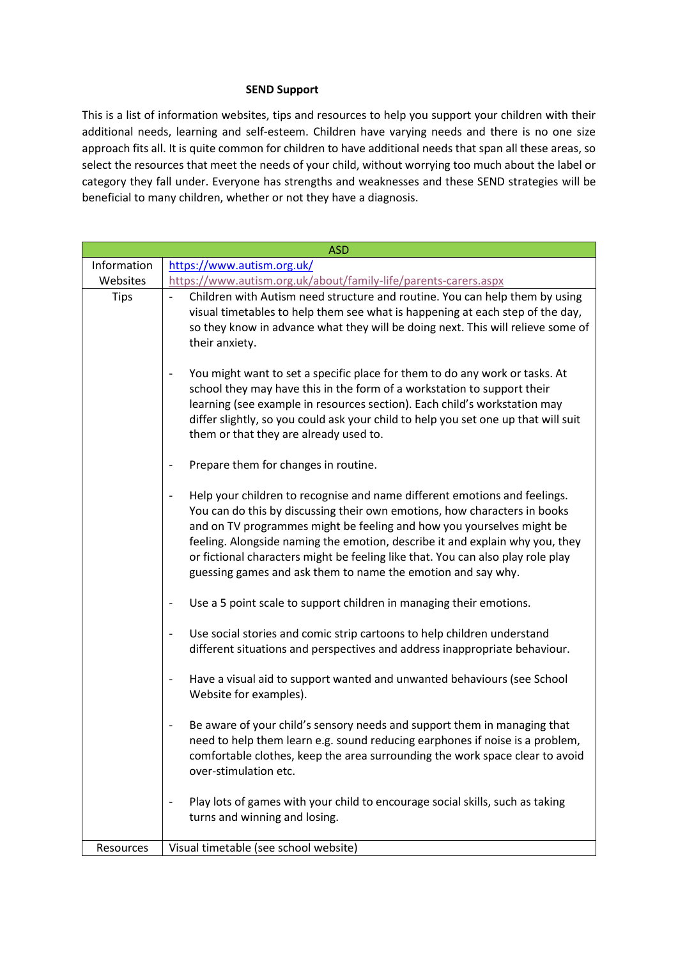## **SEND Support**

This is a list of information websites, tips and resources to help you support your children with their additional needs, learning and self-esteem. Children have varying needs and there is no one size approach fits all. It is quite common for children to have additional needs that span all these areas, so select the resources that meet the needs of your child, without worrying too much about the label or category they fall under. Everyone has strengths and weaknesses and these SEND strategies will be beneficial to many children, whether or not they have a diagnosis.

| <b>ASD</b>  |                                                                                                                                                                                                                                                                                                                                                                                                                                                                    |
|-------------|--------------------------------------------------------------------------------------------------------------------------------------------------------------------------------------------------------------------------------------------------------------------------------------------------------------------------------------------------------------------------------------------------------------------------------------------------------------------|
| Information | https://www.autism.org.uk/                                                                                                                                                                                                                                                                                                                                                                                                                                         |
| Websites    | https://www.autism.org.uk/about/family-life/parents-carers.aspx                                                                                                                                                                                                                                                                                                                                                                                                    |
| <b>Tips</b> | Children with Autism need structure and routine. You can help them by using<br>visual timetables to help them see what is happening at each step of the day,<br>so they know in advance what they will be doing next. This will relieve some of<br>their anxiety.                                                                                                                                                                                                  |
|             | You might want to set a specific place for them to do any work or tasks. At<br>school they may have this in the form of a workstation to support their<br>learning (see example in resources section). Each child's workstation may<br>differ slightly, so you could ask your child to help you set one up that will suit<br>them or that they are already used to.                                                                                                |
|             | Prepare them for changes in routine.                                                                                                                                                                                                                                                                                                                                                                                                                               |
|             | Help your children to recognise and name different emotions and feelings.<br>You can do this by discussing their own emotions, how characters in books<br>and on TV programmes might be feeling and how you yourselves might be<br>feeling. Alongside naming the emotion, describe it and explain why you, they<br>or fictional characters might be feeling like that. You can also play role play<br>guessing games and ask them to name the emotion and say why. |
|             | Use a 5 point scale to support children in managing their emotions.                                                                                                                                                                                                                                                                                                                                                                                                |
|             | Use social stories and comic strip cartoons to help children understand<br>$\overline{\phantom{a}}$<br>different situations and perspectives and address inappropriate behaviour.                                                                                                                                                                                                                                                                                  |
|             | Have a visual aid to support wanted and unwanted behaviours (see School<br>Website for examples).                                                                                                                                                                                                                                                                                                                                                                  |
|             | Be aware of your child's sensory needs and support them in managing that<br>need to help them learn e.g. sound reducing earphones if noise is a problem,<br>comfortable clothes, keep the area surrounding the work space clear to avoid<br>over-stimulation etc.                                                                                                                                                                                                  |
|             | Play lots of games with your child to encourage social skills, such as taking<br>turns and winning and losing.                                                                                                                                                                                                                                                                                                                                                     |
| Resources   | Visual timetable (see school website)                                                                                                                                                                                                                                                                                                                                                                                                                              |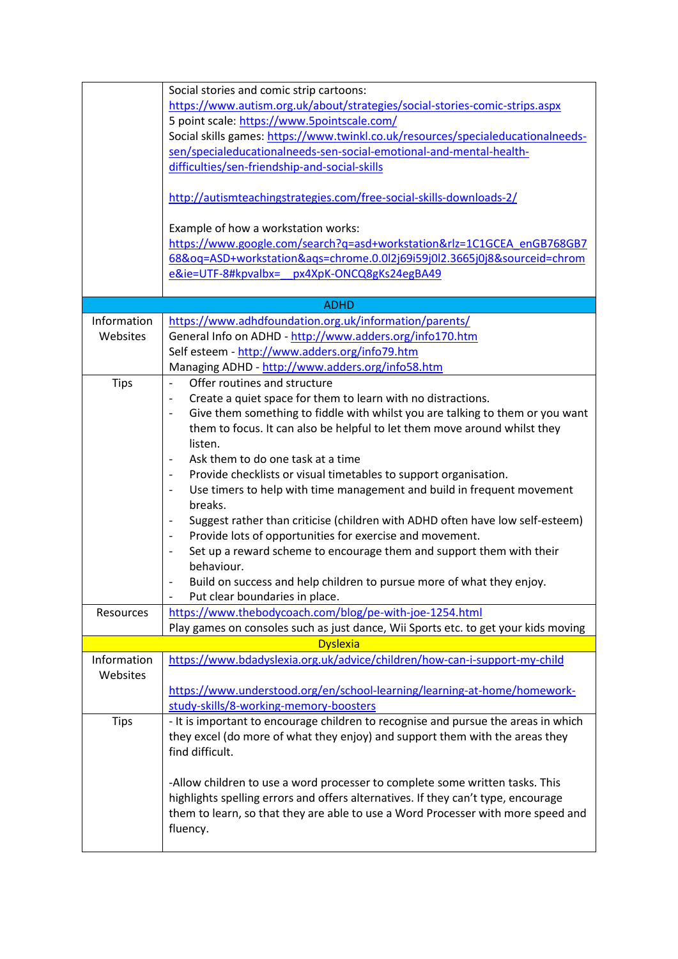|                         | Social stories and comic strip cartoons:                                                                                                                                                                                                                          |
|-------------------------|-------------------------------------------------------------------------------------------------------------------------------------------------------------------------------------------------------------------------------------------------------------------|
|                         | https://www.autism.org.uk/about/strategies/social-stories-comic-strips.aspx                                                                                                                                                                                       |
|                         | 5 point scale: https://www.5pointscale.com/                                                                                                                                                                                                                       |
|                         | Social skills games: https://www.twinkl.co.uk/resources/specialeducationalneeds-                                                                                                                                                                                  |
|                         | sen/specialeducationalneeds-sen-social-emotional-and-mental-health-                                                                                                                                                                                               |
|                         | difficulties/sen-friendship-and-social-skills                                                                                                                                                                                                                     |
|                         |                                                                                                                                                                                                                                                                   |
|                         | http://autismteachingstrategies.com/free-social-skills-downloads-2/                                                                                                                                                                                               |
|                         | Example of how a workstation works:                                                                                                                                                                                                                               |
|                         | https://www.google.com/search?q=asd+workstation&rlz=1C1GCEA enGB768GB7                                                                                                                                                                                            |
|                         | 68&oq=ASD+workstation&ags=chrome.0.0l2j69i59j0l2.3665j0j8&sourceid=chrom                                                                                                                                                                                          |
|                         | e&ie=UTF-8#kpvalbx=<br>px4XpK-ONCQ8gKs24egBA49                                                                                                                                                                                                                    |
|                         |                                                                                                                                                                                                                                                                   |
|                         | <b>ADHD</b>                                                                                                                                                                                                                                                       |
| Information             | https://www.adhdfoundation.org.uk/information/parents/                                                                                                                                                                                                            |
| Websites                | General Info on ADHD - http://www.adders.org/info170.htm                                                                                                                                                                                                          |
|                         |                                                                                                                                                                                                                                                                   |
|                         | Self esteem - http://www.adders.org/info79.htm                                                                                                                                                                                                                    |
|                         | Managing ADHD - http://www.adders.org/info58.htm                                                                                                                                                                                                                  |
| <b>Tips</b>             | Offer routines and structure<br>$\overline{\phantom{0}}$                                                                                                                                                                                                          |
|                         | Create a quiet space for them to learn with no distractions.                                                                                                                                                                                                      |
|                         | Give them something to fiddle with whilst you are talking to them or you want                                                                                                                                                                                     |
|                         | them to focus. It can also be helpful to let them move around whilst they                                                                                                                                                                                         |
|                         | listen.                                                                                                                                                                                                                                                           |
|                         | Ask them to do one task at a time                                                                                                                                                                                                                                 |
|                         | Provide checklists or visual timetables to support organisation.                                                                                                                                                                                                  |
|                         | Use timers to help with time management and build in frequent movement                                                                                                                                                                                            |
|                         | breaks.                                                                                                                                                                                                                                                           |
|                         | Suggest rather than criticise (children with ADHD often have low self-esteem)<br>$\qquad \qquad \blacksquare$                                                                                                                                                     |
|                         | Provide lots of opportunities for exercise and movement.<br>$\overline{\phantom{a}}$                                                                                                                                                                              |
|                         | Set up a reward scheme to encourage them and support them with their                                                                                                                                                                                              |
|                         | behaviour.                                                                                                                                                                                                                                                        |
|                         |                                                                                                                                                                                                                                                                   |
|                         | Build on success and help children to pursue more of what they enjoy.                                                                                                                                                                                             |
|                         | Put clear boundaries in place.                                                                                                                                                                                                                                    |
| Resources               | https://www.thebodycoach.com/blog/pe-with-joe-1254.html                                                                                                                                                                                                           |
|                         | Play games on consoles such as just dance, Wii Sports etc. to get your kids moving                                                                                                                                                                                |
|                         | <b>Dyslexia</b>                                                                                                                                                                                                                                                   |
| Information<br>Websites | https://www.bdadyslexia.org.uk/advice/children/how-can-i-support-my-child                                                                                                                                                                                         |
|                         | https://www.understood.org/en/school-learning/learning-at-home/homework-                                                                                                                                                                                          |
|                         | study-skills/8-working-memory-boosters                                                                                                                                                                                                                            |
| <b>Tips</b>             | - It is important to encourage children to recognise and pursue the areas in which<br>they excel (do more of what they enjoy) and support them with the areas they<br>find difficult.                                                                             |
|                         | -Allow children to use a word processer to complete some written tasks. This<br>highlights spelling errors and offers alternatives. If they can't type, encourage<br>them to learn, so that they are able to use a Word Processer with more speed and<br>fluency. |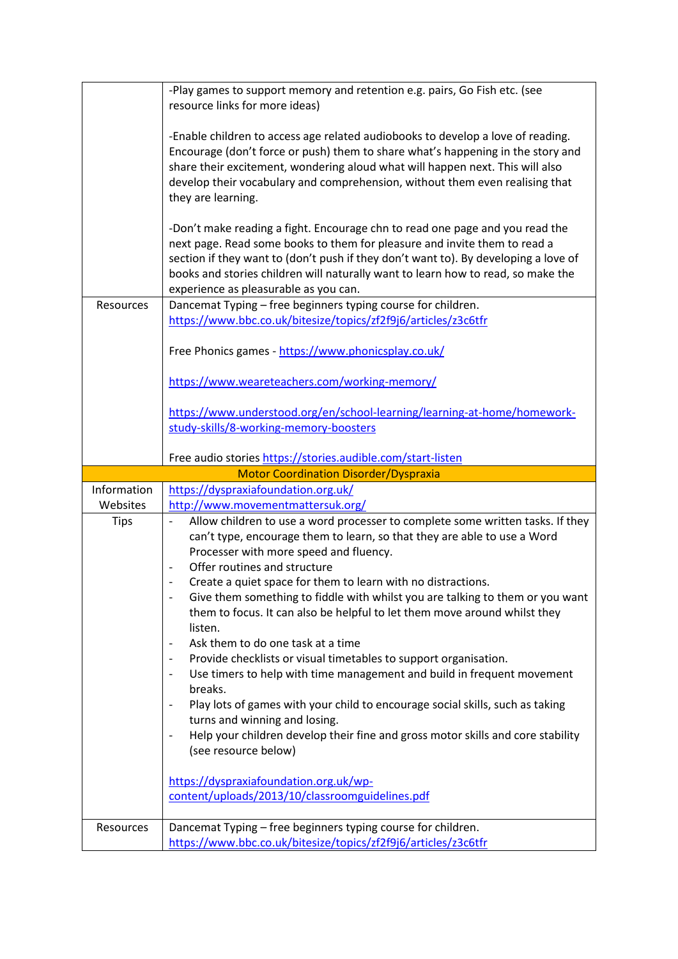|             | -Play games to support memory and retention e.g. pairs, Go Fish etc. (see<br>resource links for more ideas)                                                                                                                                                                                                                                                                   |
|-------------|-------------------------------------------------------------------------------------------------------------------------------------------------------------------------------------------------------------------------------------------------------------------------------------------------------------------------------------------------------------------------------|
|             | -Enable children to access age related audiobooks to develop a love of reading.<br>Encourage (don't force or push) them to share what's happening in the story and<br>share their excitement, wondering aloud what will happen next. This will also<br>develop their vocabulary and comprehension, without them even realising that<br>they are learning.                     |
|             | -Don't make reading a fight. Encourage chn to read one page and you read the<br>next page. Read some books to them for pleasure and invite them to read a<br>section if they want to (don't push if they don't want to). By developing a love of<br>books and stories children will naturally want to learn how to read, so make the<br>experience as pleasurable as you can. |
| Resources   | Dancemat Typing - free beginners typing course for children.                                                                                                                                                                                                                                                                                                                  |
|             | https://www.bbc.co.uk/bitesize/topics/zf2f9j6/articles/z3c6tfr                                                                                                                                                                                                                                                                                                                |
|             | Free Phonics games - https://www.phonicsplay.co.uk/                                                                                                                                                                                                                                                                                                                           |
|             | https://www.weareteachers.com/working-memory/                                                                                                                                                                                                                                                                                                                                 |
|             | https://www.understood.org/en/school-learning/learning-at-home/homework-<br>study-skills/8-working-memory-boosters                                                                                                                                                                                                                                                            |
|             | Free audio stories https://stories.audible.com/start-listen                                                                                                                                                                                                                                                                                                                   |
|             | <b>Motor Coordination Disorder/Dyspraxia</b>                                                                                                                                                                                                                                                                                                                                  |
|             |                                                                                                                                                                                                                                                                                                                                                                               |
| Information | https://dyspraxiafoundation.org.uk/                                                                                                                                                                                                                                                                                                                                           |
| Websites    | http://www.movementmattersuk.org/                                                                                                                                                                                                                                                                                                                                             |
| <b>Tips</b> | Allow children to use a word processer to complete some written tasks. If they<br>$\qquad \qquad \blacksquare$<br>can't type, encourage them to learn, so that they are able to use a Word<br>Processer with more speed and fluency.                                                                                                                                          |
|             | Offer routines and structure                                                                                                                                                                                                                                                                                                                                                  |
|             | Create a quiet space for them to learn with no distractions.<br>Give them something to fiddle with whilst you are talking to them or you want<br>them to focus. It can also be helpful to let them move around whilst they<br>listen.                                                                                                                                         |
|             | Ask them to do one task at a time                                                                                                                                                                                                                                                                                                                                             |
|             | Provide checklists or visual timetables to support organisation.                                                                                                                                                                                                                                                                                                              |
|             | Use timers to help with time management and build in frequent movement<br>breaks.                                                                                                                                                                                                                                                                                             |
|             | Play lots of games with your child to encourage social skills, such as taking                                                                                                                                                                                                                                                                                                 |
|             | turns and winning and losing.                                                                                                                                                                                                                                                                                                                                                 |
|             | Help your children develop their fine and gross motor skills and core stability<br>(see resource below)                                                                                                                                                                                                                                                                       |
|             | https://dyspraxiafoundation.org.uk/wp-                                                                                                                                                                                                                                                                                                                                        |
|             | content/uploads/2013/10/classroomguidelines.pdf                                                                                                                                                                                                                                                                                                                               |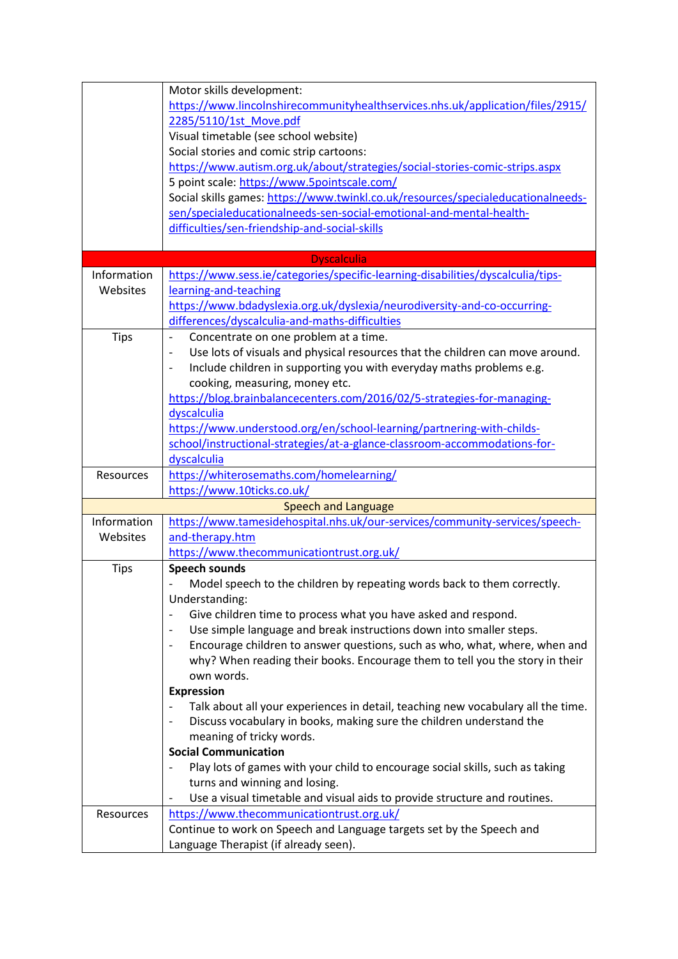|             | Motor skills development:                                                                             |
|-------------|-------------------------------------------------------------------------------------------------------|
|             | https://www.lincolnshirecommunityhealthservices.nhs.uk/application/files/2915/                        |
|             | 2285/5110/1st Move.pdf                                                                                |
|             | Visual timetable (see school website)                                                                 |
|             | Social stories and comic strip cartoons:                                                              |
|             | https://www.autism.org.uk/about/strategies/social-stories-comic-strips.aspx                           |
|             | 5 point scale: https://www.5pointscale.com/                                                           |
|             | Social skills games: https://www.twinkl.co.uk/resources/specialeducationalneeds-                      |
|             | sen/specialeducationalneeds-sen-social-emotional-and-mental-health-                                   |
|             |                                                                                                       |
|             | difficulties/sen-friendship-and-social-skills                                                         |
|             |                                                                                                       |
| Information | <b>Dyscalculia</b><br>https://www.sess.ie/categories/specific-learning-disabilities/dyscalculia/tips- |
|             |                                                                                                       |
| Websites    | learning-and-teaching                                                                                 |
|             | https://www.bdadyslexia.org.uk/dyslexia/neurodiversity-and-co-occurring-                              |
|             | differences/dyscalculia-and-maths-difficulties                                                        |
| <b>Tips</b> | Concentrate on one problem at a time.                                                                 |
|             | Use lots of visuals and physical resources that the children can move around.                         |
|             | Include children in supporting you with everyday maths problems e.g.                                  |
|             | cooking, measuring, money etc.                                                                        |
|             | https://blog.brainbalancecenters.com/2016/02/5-strategies-for-managing-                               |
|             | dyscalculia                                                                                           |
|             | https://www.understood.org/en/school-learning/partnering-with-childs-                                 |
|             | school/instructional-strategies/at-a-glance-classroom-accommodations-for-                             |
|             | dyscalculia                                                                                           |
| Resources   | https://whiterosemaths.com/homelearning/                                                              |
|             | https://www.10ticks.co.uk/                                                                            |
|             | <b>Speech and Language</b>                                                                            |
| Information | https://www.tamesidehospital.nhs.uk/our-services/community-services/speech-                           |
| Websites    | and-therapy.htm                                                                                       |
|             | https://www.thecommunicationtrust.org.uk/                                                             |
| <b>Tips</b> | <b>Speech sounds</b>                                                                                  |
|             | Model speech to the children by repeating words back to them correctly.                               |
|             | Understanding:                                                                                        |
|             | Give children time to process what you have asked and respond.                                        |
|             | Use simple language and break instructions down into smaller steps.                                   |
|             | Encourage children to answer questions, such as who, what, where, when and                            |
|             | why? When reading their books. Encourage them to tell you the story in their                          |
|             | own words.                                                                                            |
|             | <b>Expression</b>                                                                                     |
|             | Talk about all your experiences in detail, teaching new vocabulary all the time.                      |
|             | Discuss vocabulary in books, making sure the children understand the                                  |
|             | meaning of tricky words.                                                                              |
|             | <b>Social Communication</b>                                                                           |
|             |                                                                                                       |
|             | Play lots of games with your child to encourage social skills, such as taking                         |
|             | turns and winning and losing.                                                                         |
|             | Use a visual timetable and visual aids to provide structure and routines.                             |
| Resources   | https://www.thecommunicationtrust.org.uk/                                                             |
|             | Continue to work on Speech and Language targets set by the Speech and                                 |
|             | Language Therapist (if already seen).                                                                 |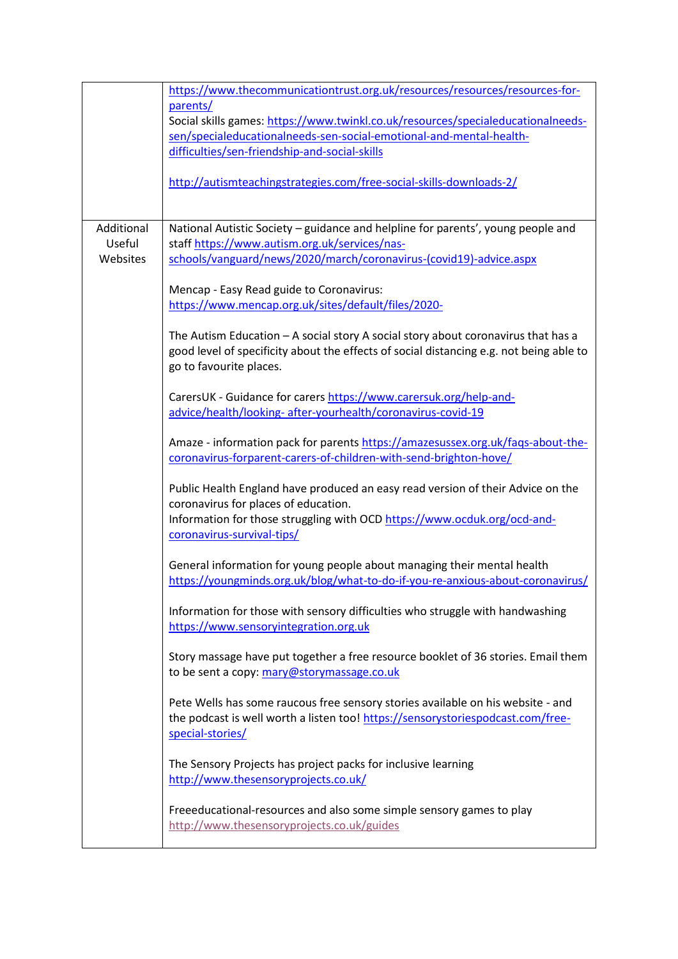|                                  | https://www.thecommunicationtrust.org.uk/resources/resources/resources-for-<br>parents/<br>Social skills games: https://www.twinkl.co.uk/resources/specialeducationalneeds-<br>sen/specialeducationalneeds-sen-social-emotional-and-mental-health-<br>difficulties/sen-friendship-and-social-skills<br>http://autismteachingstrategies.com/free-social-skills-downloads-2/ |
|----------------------------------|----------------------------------------------------------------------------------------------------------------------------------------------------------------------------------------------------------------------------------------------------------------------------------------------------------------------------------------------------------------------------|
| Additional<br>Useful<br>Websites | National Autistic Society - guidance and helpline for parents', young people and<br>staff https://www.autism.org.uk/services/nas-<br>schools/vanguard/news/2020/march/coronavirus-(covid19)-advice.aspx                                                                                                                                                                    |
|                                  | Mencap - Easy Read guide to Coronavirus:<br>https://www.mencap.org.uk/sites/default/files/2020-                                                                                                                                                                                                                                                                            |
|                                  | The Autism Education - A social story A social story about coronavirus that has a<br>good level of specificity about the effects of social distancing e.g. not being able to<br>go to favourite places.                                                                                                                                                                    |
|                                  | CarersUK - Guidance for carers https://www.carersuk.org/help-and-<br>advice/health/looking-after-yourhealth/coronavirus-covid-19                                                                                                                                                                                                                                           |
|                                  | Amaze - information pack for parents https://amazesussex.org.uk/fags-about-the-<br>coronavirus-forparent-carers-of-children-with-send-brighton-hove/                                                                                                                                                                                                                       |
|                                  | Public Health England have produced an easy read version of their Advice on the<br>coronavirus for places of education.<br>Information for those struggling with OCD https://www.ocduk.org/ocd-and-<br>coronavirus-survival-tips/                                                                                                                                          |
|                                  | General information for young people about managing their mental health<br>https://youngminds.org.uk/blog/what-to-do-if-you-re-anxious-about-coronavirus/                                                                                                                                                                                                                  |
|                                  | Information for those with sensory difficulties who struggle with handwashing<br>https://www.sensoryintegration.org.uk                                                                                                                                                                                                                                                     |
|                                  | Story massage have put together a free resource booklet of 36 stories. Email them<br>to be sent a copy: mary@storymassage.co.uk                                                                                                                                                                                                                                            |
|                                  | Pete Wells has some raucous free sensory stories available on his website - and<br>the podcast is well worth a listen too! https://sensorystoriespodcast.com/free-<br>special-stories/                                                                                                                                                                                     |
|                                  | The Sensory Projects has project packs for inclusive learning<br>http://www.thesensoryprojects.co.uk/                                                                                                                                                                                                                                                                      |
|                                  | Freeeducational-resources and also some simple sensory games to play<br>http://www.thesensoryprojects.co.uk/guides                                                                                                                                                                                                                                                         |